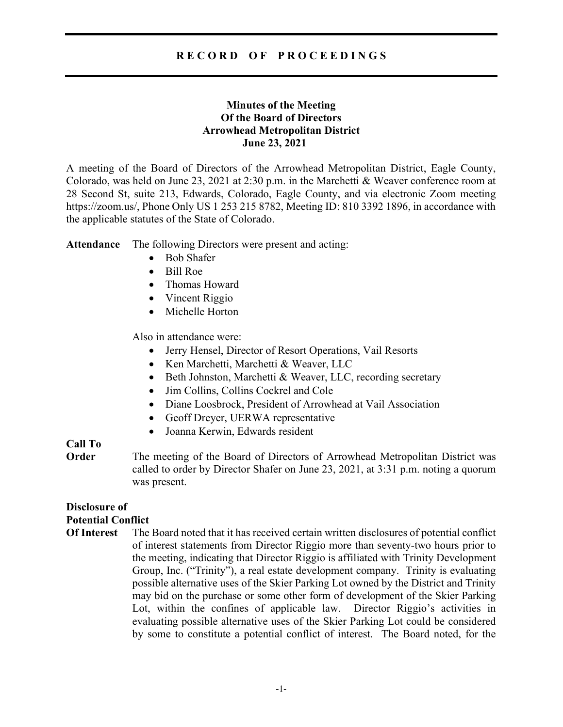## R E C O R D O F P R O C E E D I N G S

### Minutes of the Meeting Of the Board of Directors Arrowhead Metropolitan District June 23, 2021

A meeting of the Board of Directors of the Arrowhead Metropolitan District, Eagle County, Colorado, was held on June 23, 2021 at 2:30 p.m. in the Marchetti & Weaver conference room at 28 Second St, suite 213, Edwards, Colorado, Eagle County, and via electronic Zoom meeting https://zoom.us/, Phone Only US 1 253 215 8782, Meeting ID: 810 3392 1896, in accordance with the applicable statutes of the State of Colorado.

Attendance The following Directors were present and acting:

- Bob Shafer
- Bill Roe
- Thomas Howard
- Vincent Riggio
- Michelle Horton

Also in attendance were:

- Jerry Hensel, Director of Resort Operations, Vail Resorts
- Ken Marchetti, Marchetti & Weaver, LLC
- Beth Johnston, Marchetti & Weaver, LLC, recording secretary
- Jim Collins, Collins Cockrel and Cole
- Diane Loosbrock, President of Arrowhead at Vail Association
- Geoff Dreyer, UERWA representative
- Joanna Kerwin, Edwards resident

# Call To

**Order** The meeting of the Board of Directors of Arrowhead Metropolitan District was called to order by Director Shafer on June 23, 2021, at 3:31 p.m. noting a quorum was present.

# Disclosure of Potential Conflict

Of Interest The Board noted that it has received certain written disclosures of potential conflict of interest statements from Director Riggio more than seventy-two hours prior to the meeting, indicating that Director Riggio is affiliated with Trinity Development Group, Inc. ("Trinity"), a real estate development company. Trinity is evaluating possible alternative uses of the Skier Parking Lot owned by the District and Trinity may bid on the purchase or some other form of development of the Skier Parking Lot, within the confines of applicable law. Director Riggio's activities in evaluating possible alternative uses of the Skier Parking Lot could be considered by some to constitute a potential conflict of interest. The Board noted, for the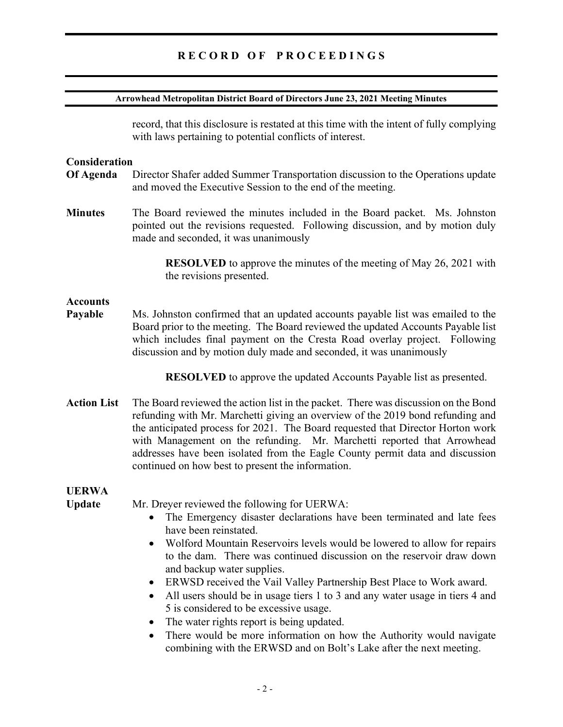## RECORD OF PROCEEDINGS

#### Arrowhead Metropolitan District Board of Directors June 23, 2021 Meeting Minutes

record, that this disclosure is restated at this time with the intent of fully complying with laws pertaining to potential conflicts of interest.

### **Consideration**

- Of Agenda Director Shafer added Summer Transportation discussion to the Operations update and moved the Executive Session to the end of the meeting.
- Minutes The Board reviewed the minutes included in the Board packet. Ms. Johnston pointed out the revisions requested. Following discussion, and by motion duly made and seconded, it was unanimously

 RESOLVED to approve the minutes of the meeting of May 26, 2021 with the revisions presented.

#### **Accounts**

Payable Ms. Johnston confirmed that an updated accounts payable list was emailed to the Board prior to the meeting. The Board reviewed the updated Accounts Payable list which includes final payment on the Cresta Road overlay project. Following discussion and by motion duly made and seconded, it was unanimously

RESOLVED to approve the updated Accounts Payable list as presented.

Action List The Board reviewed the action list in the packet. There was discussion on the Bond refunding with Mr. Marchetti giving an overview of the 2019 bond refunding and the anticipated process for 2021. The Board requested that Director Horton work with Management on the refunding. Mr. Marchetti reported that Arrowhead addresses have been isolated from the Eagle County permit data and discussion continued on how best to present the information.

# UERWA

Update Mr. Dreyer reviewed the following for UERWA:

- The Emergency disaster declarations have been terminated and late fees have been reinstated.
- Wolford Mountain Reservoirs levels would be lowered to allow for repairs to the dam. There was continued discussion on the reservoir draw down and backup water supplies.
- ERWSD received the Vail Valley Partnership Best Place to Work award.
- All users should be in usage tiers 1 to 3 and any water usage in tiers 4 and 5 is considered to be excessive usage.
- The water rights report is being updated.
- There would be more information on how the Authority would navigate combining with the ERWSD and on Bolt's Lake after the next meeting.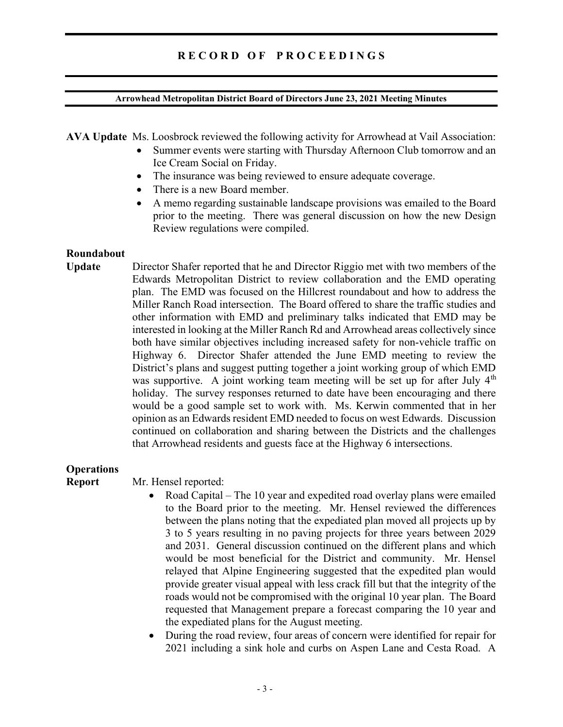#### Arrowhead Metropolitan District Board of Directors June 23, 2021 Meeting Minutes

AVA Update Ms. Loosbrock reviewed the following activity for Arrowhead at Vail Association:

- Summer events were starting with Thursday Afternoon Club tomorrow and an Ice Cream Social on Friday.
- The insurance was being reviewed to ensure adequate coverage.
- There is a new Board member.
- A memo regarding sustainable landscape provisions was emailed to the Board prior to the meeting. There was general discussion on how the new Design Review regulations were compiled.

#### Roundabout

Update Director Shafer reported that he and Director Riggio met with two members of the Edwards Metropolitan District to review collaboration and the EMD operating plan. The EMD was focused on the Hillcrest roundabout and how to address the Miller Ranch Road intersection. The Board offered to share the traffic studies and other information with EMD and preliminary talks indicated that EMD may be interested in looking at the Miller Ranch Rd and Arrowhead areas collectively since both have similar objectives including increased safety for non-vehicle traffic on Highway 6. Director Shafer attended the June EMD meeting to review the District's plans and suggest putting together a joint working group of which EMD was supportive. A joint working team meeting will be set up for after July  $4<sup>th</sup>$ holiday. The survey responses returned to date have been encouraging and there would be a good sample set to work with. Ms. Kerwin commented that in her opinion as an Edwards resident EMD needed to focus on west Edwards. Discussion continued on collaboration and sharing between the Districts and the challenges that Arrowhead residents and guests face at the Highway 6 intersections.

### **Operations**

Report Mr. Hensel reported:

- Road Capital The 10 year and expedited road overlay plans were emailed to the Board prior to the meeting. Mr. Hensel reviewed the differences between the plans noting that the expediated plan moved all projects up by 3 to 5 years resulting in no paving projects for three years between 2029 and 2031. General discussion continued on the different plans and which would be most beneficial for the District and community. Mr. Hensel relayed that Alpine Engineering suggested that the expedited plan would provide greater visual appeal with less crack fill but that the integrity of the roads would not be compromised with the original 10 year plan. The Board requested that Management prepare a forecast comparing the 10 year and the expediated plans for the August meeting.
- During the road review, four areas of concern were identified for repair for 2021 including a sink hole and curbs on Aspen Lane and Cesta Road. A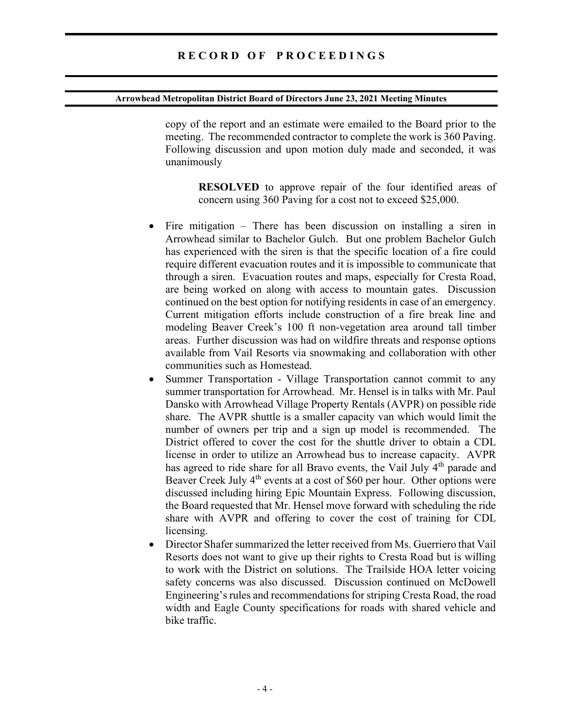#### Arrowhead Metropolitan District Board of Directors June 23, 2021 Meeting Minutes

copy of the report and an estimate were emailed to the Board prior to the meeting. The recommended contractor to complete the work is 360 Paving. Following discussion and upon motion duly made and seconded, it was unanimously

RESOLVED to approve repair of the four identified areas of concern using 360 Paving for a cost not to exceed \$25,000.

- Fire mitigation There has been discussion on installing a siren in Arrowhead similar to Bachelor Gulch. But one problem Bachelor Gulch has experienced with the siren is that the specific location of a fire could require different evacuation routes and it is impossible to communicate that through a siren. Evacuation routes and maps, especially for Cresta Road, are being worked on along with access to mountain gates. Discussion continued on the best option for notifying residents in case of an emergency. Current mitigation efforts include construction of a fire break line and modeling Beaver Creek's 100 ft non-vegetation area around tall timber areas. Further discussion was had on wildfire threats and response options available from Vail Resorts via snowmaking and collaboration with other communities such as Homestead.
- Summer Transportation Village Transportation cannot commit to any summer transportation for Arrowhead. Mr. Hensel is in talks with Mr. Paul Dansko with Arrowhead Village Property Rentals (AVPR) on possible ride share. The AVPR shuttle is a smaller capacity van which would limit the number of owners per trip and a sign up model is recommended. The District offered to cover the cost for the shuttle driver to obtain a CDL license in order to utilize an Arrowhead bus to increase capacity. AVPR has agreed to ride share for all Bravo events, the Vail July  $4<sup>th</sup>$  parade and Beaver Creek July 4<sup>th</sup> events at a cost of \$60 per hour. Other options were discussed including hiring Epic Mountain Express. Following discussion, the Board requested that Mr. Hensel move forward with scheduling the ride share with AVPR and offering to cover the cost of training for CDL licensing.
- Director Shafer summarized the letter received from Ms. Guerriero that Vail Resorts does not want to give up their rights to Cresta Road but is willing to work with the District on solutions. The Trailside HOA letter voicing safety concerns was also discussed. Discussion continued on McDowell Engineering's rules and recommendations for striping Cresta Road, the road width and Eagle County specifications for roads with shared vehicle and bike traffic.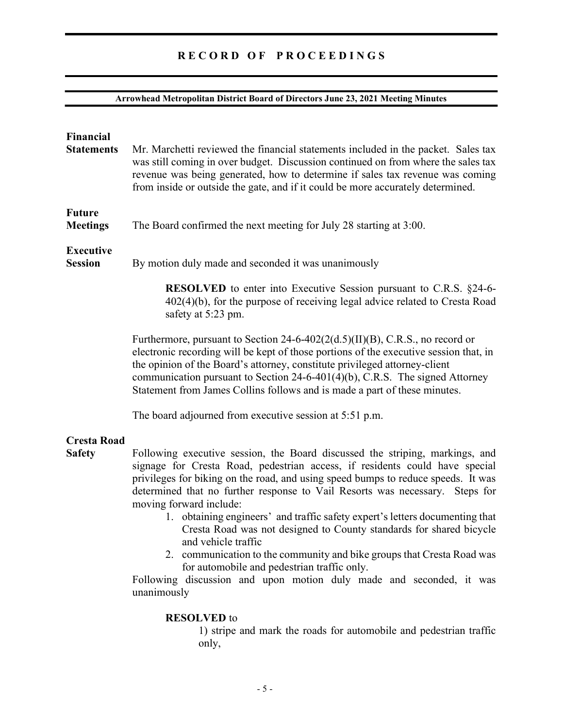# RECORD OF PROCEEDINGS

# Arrowhead Metropolitan District Board of Directors June 23, 2021 Meeting Minutes

| <b>Financial</b><br><b>Statements</b> | Mr. Marchetti reviewed the financial statements included in the packet. Sales tax<br>was still coming in over budget. Discussion continued on from where the sales tax<br>revenue was being generated, how to determine if sales tax revenue was coming<br>from inside or outside the gate, and if it could be more accurately determined.                                                                                                                                                                                                                                                                                                                                                                                                               |
|---------------------------------------|----------------------------------------------------------------------------------------------------------------------------------------------------------------------------------------------------------------------------------------------------------------------------------------------------------------------------------------------------------------------------------------------------------------------------------------------------------------------------------------------------------------------------------------------------------------------------------------------------------------------------------------------------------------------------------------------------------------------------------------------------------|
| <b>Future</b><br><b>Meetings</b>      | The Board confirmed the next meeting for July 28 starting at 3:00.                                                                                                                                                                                                                                                                                                                                                                                                                                                                                                                                                                                                                                                                                       |
| <b>Executive</b><br><b>Session</b>    | By motion duly made and seconded it was unanimously                                                                                                                                                                                                                                                                                                                                                                                                                                                                                                                                                                                                                                                                                                      |
|                                       | <b>RESOLVED</b> to enter into Executive Session pursuant to C.R.S. §24-6-<br>$402(4)(b)$ , for the purpose of receiving legal advice related to Cresta Road<br>safety at 5:23 pm.                                                                                                                                                                                                                                                                                                                                                                                                                                                                                                                                                                        |
|                                       | Furthermore, pursuant to Section $24-6-402(2(d.5)(II)(B), C.R.S.,$ no record or<br>electronic recording will be kept of those portions of the executive session that, in<br>the opinion of the Board's attorney, constitute privileged attorney-client<br>communication pursuant to Section $24-6-401(4)(b)$ , C.R.S. The signed Attorney<br>Statement from James Collins follows and is made a part of these minutes.                                                                                                                                                                                                                                                                                                                                   |
|                                       | The board adjourned from executive session at 5:51 p.m.                                                                                                                                                                                                                                                                                                                                                                                                                                                                                                                                                                                                                                                                                                  |
| <b>Cresta Road</b><br><b>Safety</b>   | Following executive session, the Board discussed the striping, markings, and<br>signage for Cresta Road, pedestrian access, if residents could have special<br>privileges for biking on the road, and using speed bumps to reduce speeds. It was<br>determined that no further response to Vail Resorts was necessary. Steps for<br>moving forward include:<br>1. obtaining engineers' and traffic safety expert's letters documenting that<br>Cresta Road was not designed to County standards for shared bicycle<br>and vehicle traffic<br>2. communication to the community and bike groups that Cresta Road was<br>for automobile and pedestrian traffic only.<br>Following discussion and upon motion duly made and seconded, it was<br>unanimously |
|                                       | <b>RESOLVED</b> to<br>1) stripe and mark the roads for automobile and pedestrian traffic<br>only,                                                                                                                                                                                                                                                                                                                                                                                                                                                                                                                                                                                                                                                        |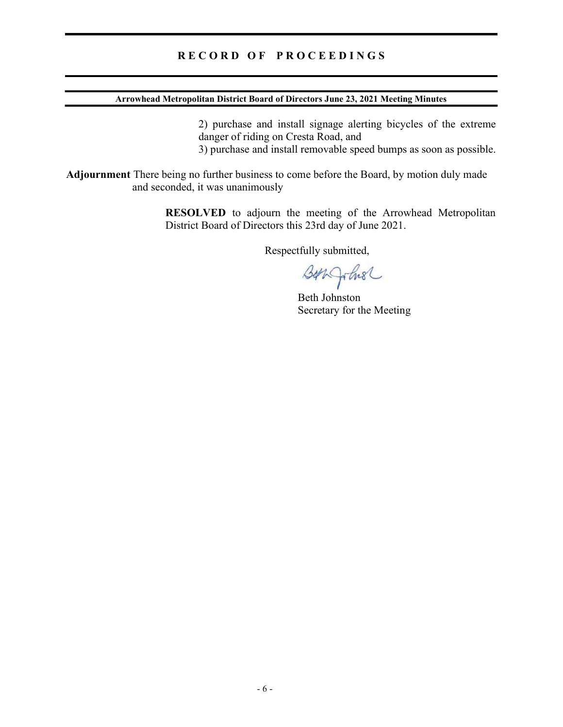## RECORD OF PROCEEDINGS

### Arrowhead Metropolitan District Board of Directors June 23, 2021 Meeting Minutes

2) purchase and install signage alerting bicycles of the extreme danger of riding on Cresta Road, and

3) purchase and install removable speed bumps as soon as possible.

Adjournment There being no further business to come before the Board, by motion duly made and seconded, it was unanimously

> RESOLVED to adjourn the meeting of the Arrowhead Metropolitan District Board of Directors this 23rd day of June 2021.

> > Respectfully submitted,

Barqohse

Beth Johnston Secretary for the Meeting